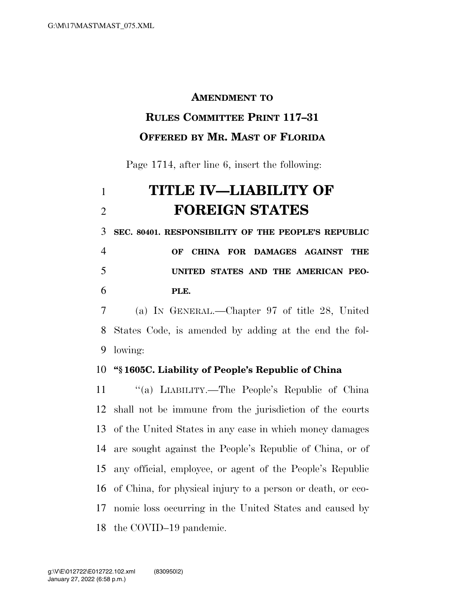#### **AMENDMENT TO**

### **RULES COMMITTEE PRINT 117–31 OFFERED BY MR. MAST OF FLORIDA**

# Page 1714, after line 6, insert the following:

# **TITLE IV—LIABILITY OF FOREIGN STATES**

**SEC. 80401. RESPONSIBILITY OF THE PEOPLE'S REPUBLIC** 

## **OF CHINA FOR DAMAGES AGAINST THE UNITED STATES AND THE AMERICAN PEO-PLE.**

 (a) IN GENERAL.—Chapter 97 of title 28, United States Code, is amended by adding at the end the fol-lowing:

#### **''§ 1605C. Liability of People's Republic of China**

 ''(a) LIABILITY.—The People's Republic of China shall not be immune from the jurisdiction of the courts of the United States in any case in which money damages are sought against the People's Republic of China, or of any official, employee, or agent of the People's Republic of China, for physical injury to a person or death, or eco- nomic loss occurring in the United States and caused by the COVID–19 pandemic.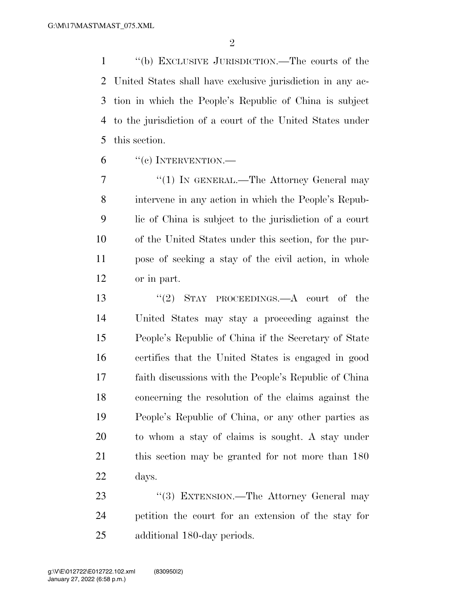''(b) EXCLUSIVE JURISDICTION.—The courts of the United States shall have exclusive jurisdiction in any ac- tion in which the People's Republic of China is subject to the jurisdiction of a court of the United States under this section.

"(c) INTERVENTION.—

7 "(1) IN GENERAL.—The Attorney General may intervene in any action in which the People's Repub- lic of China is subject to the jurisdiction of a court of the United States under this section, for the pur- pose of seeking a stay of the civil action, in whole or in part.

 ''(2) STAY PROCEEDINGS.—A court of the United States may stay a proceeding against the People's Republic of China if the Secretary of State certifies that the United States is engaged in good faith discussions with the People's Republic of China concerning the resolution of the claims against the People's Republic of China, or any other parties as to whom a stay of claims is sought. A stay under this section may be granted for not more than 180 days.

23 ''(3) EXTENSION.—The Attorney General may petition the court for an extension of the stay for additional 180-day periods.